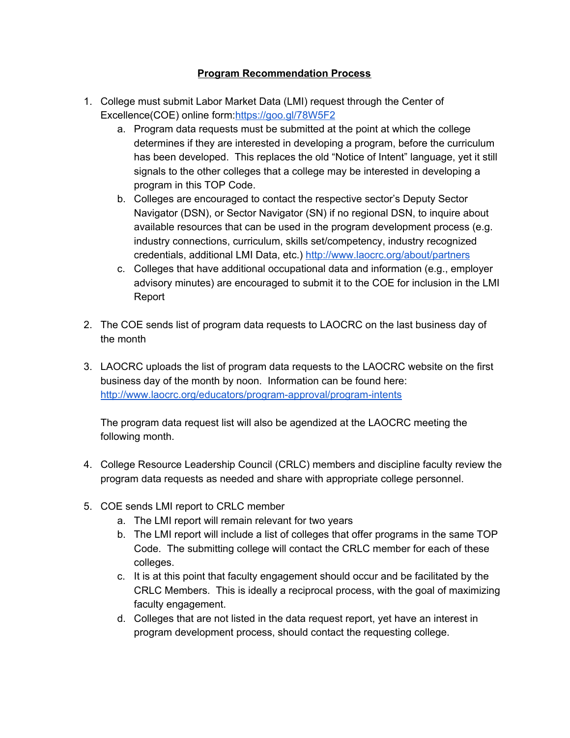## **Program Recommendation Process**

- 1. College must submit Labor Market Data (LMI) request through the Center of Excellence(COE) online form:<https://goo.gl/78W5F2>
	- a. Program data requests must be submitted at the point at which the college determines if they are interested in developing a program, before the curriculum has been developed. This replaces the old "Notice of Intent" language, yet it still signals to the other colleges that a college may be interested in developing a program in this TOP Code.
	- b. Colleges are encouraged to contact the respective sector's Deputy Sector Navigator (DSN), or Sector Navigator (SN) if no regional DSN, to inquire about available resources that can be used in the program development process (e.g. industry connections, curriculum, skills set/competency, industry recognized credentials, additional LMI Data, etc.) <http://www.laocrc.org/about/partners>
	- c. Colleges that have additional occupational data and information (e.g., employer advisory minutes) are encouraged to submit it to the COE for inclusion in the LMI Report
- 2. The COE sends list of program data requests to LAOCRC on the last business day of the month
- 3. LAOCRC uploads the list of program data requests to the LAOCRC website on the first business day of the month by noon. Information can be found here: <http://www.laocrc.org/educators/program-approval/program-intents>

The program data request list will also be agendized at the LAOCRC meeting the following month.

- 4. College Resource Leadership Council (CRLC) members and discipline faculty review the program data requests as needed and share with appropriate college personnel.
- 5. COE sends LMI report to CRLC member
	- a. The LMI report will remain relevant for two years
	- b. The LMI report will include a list of colleges that offer programs in the same TOP Code. The submitting college will contact the CRLC member for each of these colleges.
	- c. It is at this point that faculty engagement should occur and be facilitated by the CRLC Members. This is ideally a reciprocal process, with the goal of maximizing faculty engagement.
	- d. Colleges that are not listed in the data request report, yet have an interest in program development process, should contact the requesting college.